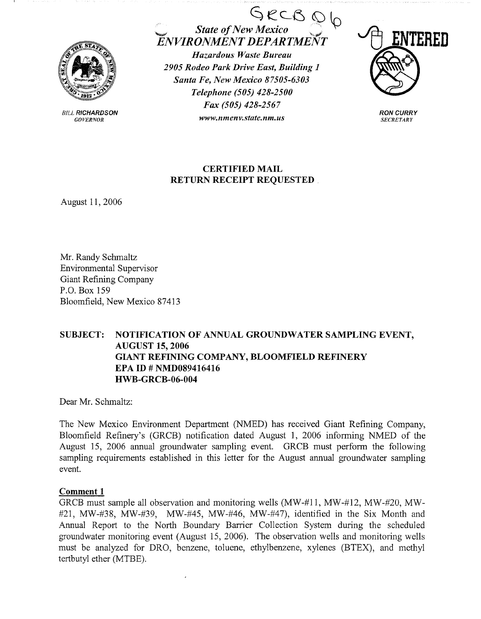

*BILL RICHARDSON* GOVERNOR

 $\bigcirc$  *State of New Mexico*  $\bigcirc$   $\bigcirc$   $\bigcirc$  $ENVIRONMENT DEPARIME$ *Hazardous Waste Bureau 2905 Rodeo Park Drive East, Building 1 Santa Fe, New Mexico 87505-6303 Telephone (505) 428-2500 Fax (505) 428-2567 www.nmenv.state.nm.us* 



**RON CURRY SECRETARY** 

## **CERTIFIED MAIL RETURN RECEIPT REQUESTED**

August 11, 2006

Mr. Randy Schmaltz Environmental Supervisor Giant Refining Company P.O. Box 159 Bloomfield, New Mexico 87413

## **SUBJECT: NOTIFICATION OF ANNUAL GROUNDWATER SAMPLING EVENT, AUGUST 15, 2006 GIANT REFINING COMPANY, BLOOMFIELD REFINERY EPA ID# NMD089416416 HWB-GRCB-06-004**

Dear Mr. Schmaltz:

The New Mexico Enviromnent Department (NMED) has received Giant Refining Company, Bloomfield Refinery's (GRCB) notification dated August 1, 2006 informing NMED of the August 15, 2006 annual groundwater sampling event. GRCB must perform the following sampling requirements established in this letter for the August annual groundwater sampling event.

## **Comment 1**

GRCB must sample all observation and monitoring wells (MW-#11, MW-#12, MW-#20, MW- #21, MW-#38, MW-#39, MW-#45, MW-#46, MW-#47), identified in the Six Month and Annual Report to the North Boundary Barrier Collection System during the scheduled groundwater monitoring event (August 15, 2006). The observation wells and monitoring wells must be analyzed for DRO, benzene, toluene, ethylbenzene, xylenes (BTEX), and methyl tertbutyl ether (MTBE).